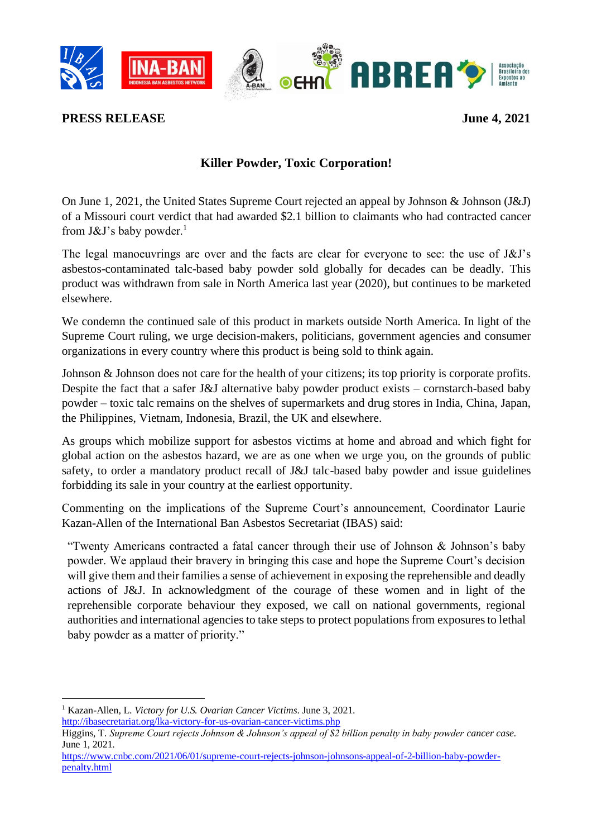

**PRESS RELEASE** June 4, 2021

## **Killer Powder, Toxic Corporation!**

On June 1, 2021, the United States Supreme Court rejected an appeal by Johnson & Johnson (J&J) of a Missouri court verdict that had awarded \$2.1 billion to claimants who had contracted cancer from  $J&J's$  baby powder.<sup>1</sup>

The legal manoeuvrings are over and the facts are clear for everyone to see: the use of J&J's asbestos-contaminated talc-based baby powder sold globally for decades can be deadly. This product was withdrawn from sale in North America last year (2020), but continues to be marketed elsewhere.

We condemn the continued sale of this product in markets outside North America. In light of the Supreme Court ruling, we urge decision-makers, politicians, government agencies and consumer organizations in every country where this product is being sold to think again.

Johnson & Johnson does not care for the health of your citizens; its top priority is corporate profits. Despite the fact that a safer J&J alternative baby powder product exists – cornstarch-based baby powder – toxic talc remains on the shelves of supermarkets and drug stores in India, China, Japan, the Philippines, Vietnam, Indonesia, Brazil, the UK and elsewhere.

As groups which mobilize support for asbestos victims at home and abroad and which fight for global action on the asbestos hazard, we are as one when we urge you, on the grounds of public safety, to order a mandatory product recall of J&J talc-based baby powder and issue guidelines forbidding its sale in your country at the earliest opportunity.

Commenting on the implications of the Supreme Court's announcement, Coordinator Laurie Kazan-Allen of the International Ban Asbestos Secretariat (IBAS) said:

"Twenty Americans contracted a fatal cancer through their use of Johnson & Johnson's baby powder. We applaud their bravery in bringing this case and hope the Supreme Court's decision will give them and their families a sense of achievement in exposing the reprehensible and deadly actions of J&J. In acknowledgment of the courage of these women and in light of the reprehensible corporate behaviour they exposed, we call on national governments, regional authorities and international agencies to take steps to protect populations from exposures to lethal baby powder as a matter of priority."

<sup>1</sup> Kazan-Allen, L. *Victory for U.S. Ovarian Cancer Victims*. June 3, 2021. <http://ibasecretariat.org/lka-victory-for-us-ovarian-cancer-victims.php>

Higgins, T*. Supreme Court rejects Johnson & Johnson's appeal of \$2 billion penalty in baby powder cancer case.* June 1, 2021.

[https://www.cnbc.com/2021/06/01/supreme-court-rejects-johnson-johnsons-appeal-of-2-billion-baby-powder](https://www.cnbc.com/2021/06/01/supreme-court-rejects-johnson-johnsons-appeal-of-2-billion-baby-powder-penalty.html)[penalty.html](https://www.cnbc.com/2021/06/01/supreme-court-rejects-johnson-johnsons-appeal-of-2-billion-baby-powder-penalty.html)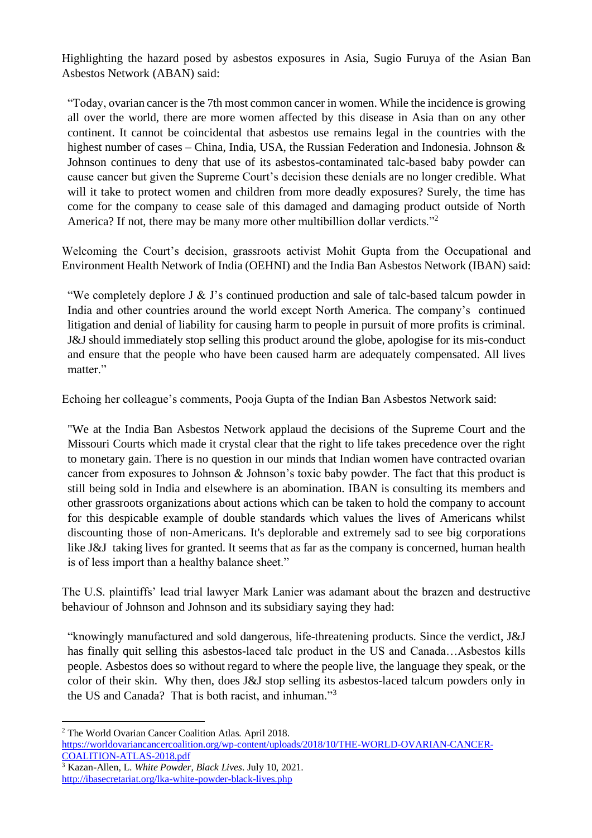Highlighting the hazard posed by asbestos exposures in Asia, Sugio Furuya of the Asian Ban Asbestos Network (ABAN) said:

"Today, ovarian cancer is the 7th most common cancer in women. While the incidence is growing all over the world, there are more women affected by this disease in Asia than on any other continent. It cannot be coincidental that asbestos use remains legal in the countries with the highest number of cases – China, India, USA, the Russian Federation and Indonesia. Johnson & Johnson continues to deny that use of its asbestos-contaminated talc-based baby powder can cause cancer but given the Supreme Court's decision these denials are no longer credible. What will it take to protect women and children from more deadly exposures? Surely, the time has come for the company to cease sale of this damaged and damaging product outside of North America? If not, there may be many more other multibillion dollar verdicts."<sup>2</sup>

Welcoming the Court's decision, grassroots activist Mohit Gupta from the Occupational and Environment Health Network of India (OEHNI) and the India Ban Asbestos Network (IBAN) said:

"We completely deplore J  $\&$  J's continued production and sale of talc-based talcum powder in India and other countries around the world except North America. The company's continued litigation and denial of liability for causing harm to people in pursuit of more profits is criminal. J&J should immediately stop selling this product around the globe, apologise for its mis-conduct and ensure that the people who have been caused harm are adequately compensated. All lives matter"

Echoing her colleague's comments, Pooja Gupta of the Indian Ban Asbestos Network said:

"We at the India Ban Asbestos Network applaud the decisions of the Supreme Court and the Missouri Courts which made it crystal clear that the right to life takes precedence over the right to monetary gain. There is no question in our minds that Indian women have contracted ovarian cancer from exposures to Johnson & Johnson's toxic baby powder. The fact that this product is still being sold in India and elsewhere is an abomination. IBAN is consulting its members and other grassroots organizations about actions which can be taken to hold the company to account for this despicable example of double standards which values the lives of Americans whilst discounting those of non-Americans. It's deplorable and extremely sad to see big corporations like J&J taking lives for granted. It seems that as far as the company is concerned, human health is of less import than a healthy balance sheet."

The U.S. plaintiffs' lead trial lawyer Mark Lanier was adamant about the brazen and destructive behaviour of Johnson and Johnson and its subsidiary saying they had:

"knowingly manufactured and sold dangerous, life-threatening products. Since the verdict, J&J has finally quit selling this asbestos-laced talc product in the US and Canada…Asbestos kills people. Asbestos does so without regard to where the people live, the language they speak, or the color of their skin. Why then, does J&J stop selling its asbestos-laced talcum powders only in the US and Canada? That is both racist, and inhuman."<sup>3</sup>

<sup>2</sup> The World Ovarian Cancer Coalition Atlas. April 2018. [https://worldovariancancercoalition.org/wp-content/uploads/2018/10/THE-WORLD-OVARIAN-CANCER-](https://worldovariancancercoalition.org/wp-content/uploads/2018/10/THE-WORLD-OVARIAN-CANCER-COALITION-ATLAS-2018.pdf)[COALITION-ATLAS-2018.pdf](https://worldovariancancercoalition.org/wp-content/uploads/2018/10/THE-WORLD-OVARIAN-CANCER-COALITION-ATLAS-2018.pdf)

<sup>3</sup> Kazan-Allen, L. *White Powder, Black Lives*. July 10, 2021. <http://ibasecretariat.org/lka-white-powder-black-lives.php>